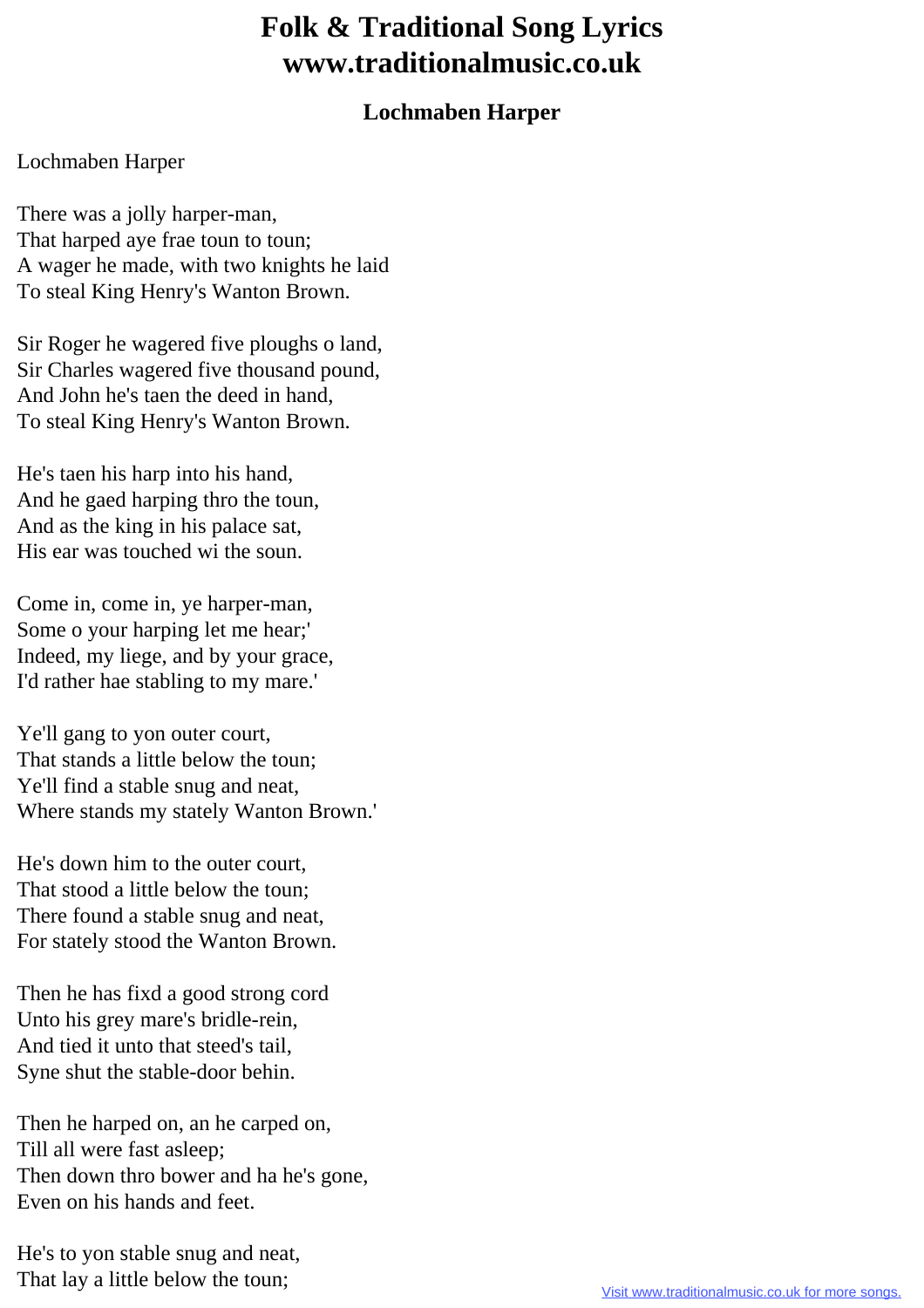## **Folk & Traditional Song Lyrics www.traditionalmusic.co.uk**

## **Lochmaben Harper**

## Lochmaben Harper

There was a jolly harper-man, That harped aye frae toun to toun; A wager he made, with two knights he laid To steal King Henry's Wanton Brown.

Sir Roger he wagered five ploughs o land, Sir Charles wagered five thousand pound, And John he's taen the deed in hand, To steal King Henry's Wanton Brown.

He's taen his harp into his hand, And he gaed harping thro the toun, And as the king in his palace sat, His ear was touched wi the soun.

Come in, come in, ye harper-man, Some o your harping let me hear;' Indeed, my liege, and by your grace, I'd rather hae stabling to my mare.'

Ye'll gang to yon outer court, That stands a little below the toun; Ye'll find a stable snug and neat, Where stands my stately Wanton Brown.'

He's down him to the outer court, That stood a little below the toun; There found a stable snug and neat, For stately stood the Wanton Brown.

Then he has fixd a good strong cord Unto his grey mare's bridle-rein, And tied it unto that steed's tail, Syne shut the stable-door behin.

Then he harped on, an he carped on, Till all were fast asleep; Then down thro bower and ha he's gone, Even on his hands and feet.

He's to yon stable snug and neat, That lay a little below the toun;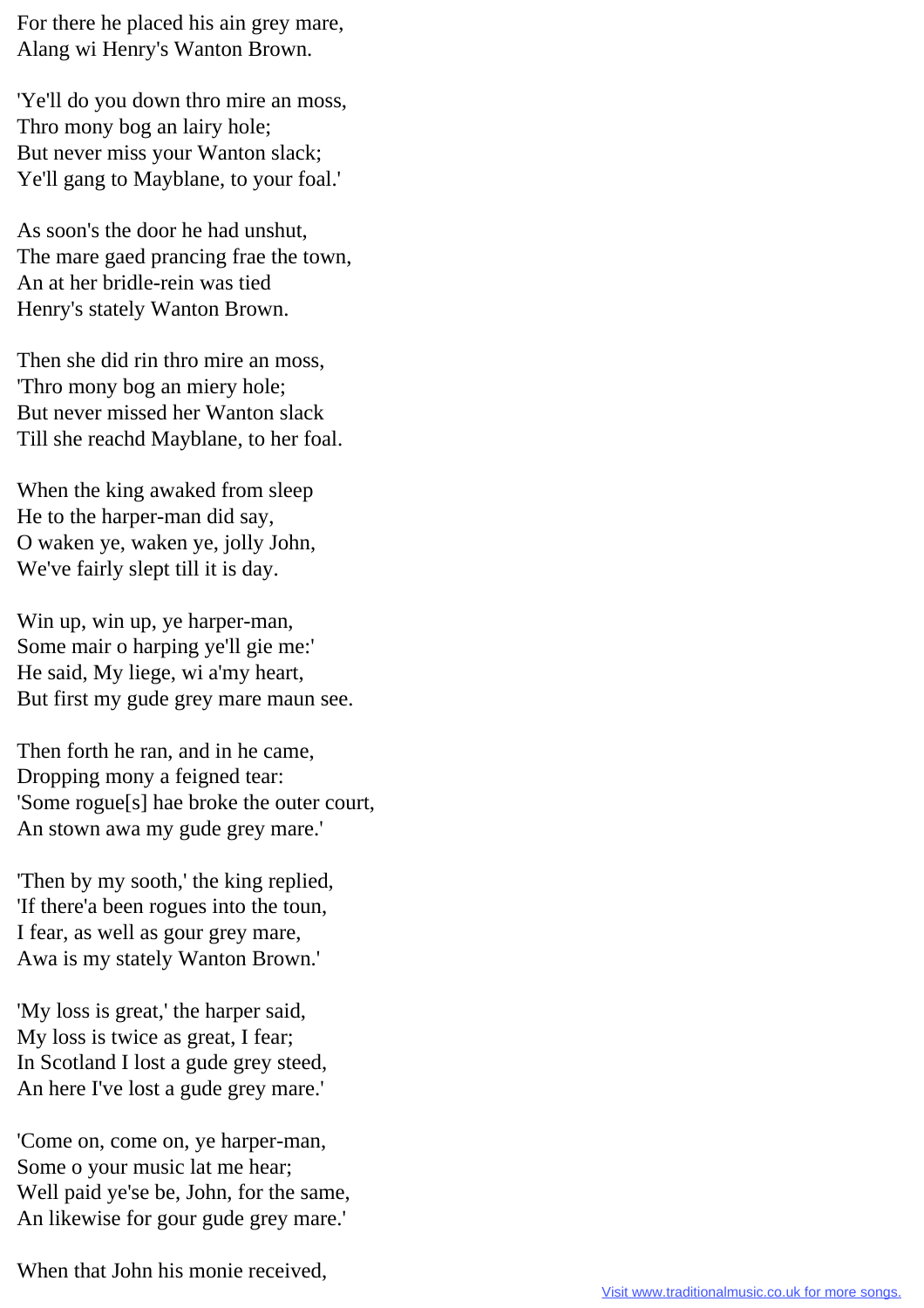For there he placed his ain grey mare, Alang wi Henry's Wanton Brown.

'Ye'll do you down thro mire an moss, Thro mony bog an lairy hole; But never miss your Wanton slack; Ye'll gang to Mayblane, to your foal.'

As soon's the door he had unshut, The mare gaed prancing frae the town, An at her bridle-rein was tied Henry's stately Wanton Brown.

Then she did rin thro mire an moss, 'Thro mony bog an miery hole; But never missed her Wanton slack Till she reachd Mayblane, to her foal.

When the king awaked from sleep He to the harper-man did say, O waken ye, waken ye, jolly John, We've fairly slept till it is day.

Win up, win up, ye harper-man, Some mair o harping ye'll gie me:' He said, My liege, wi a'my heart, But first my gude grey mare maun see.

Then forth he ran, and in he came, Dropping mony a feigned tear: 'Some rogue[s] hae broke the outer court, An stown awa my gude grey mare.'

'Then by my sooth,' the king replied, 'If there'a been rogues into the toun, I fear, as well as gour grey mare, Awa is my stately Wanton Brown.'

'My loss is great,' the harper said, My loss is twice as great, I fear; In Scotland I lost a gude grey steed, An here I've lost a gude grey mare.'

'Come on, come on, ye harper-man, Some o your music lat me hear; Well paid ye'se be, John, for the same, An likewise for gour gude grey mare.'

When that John his monie received,